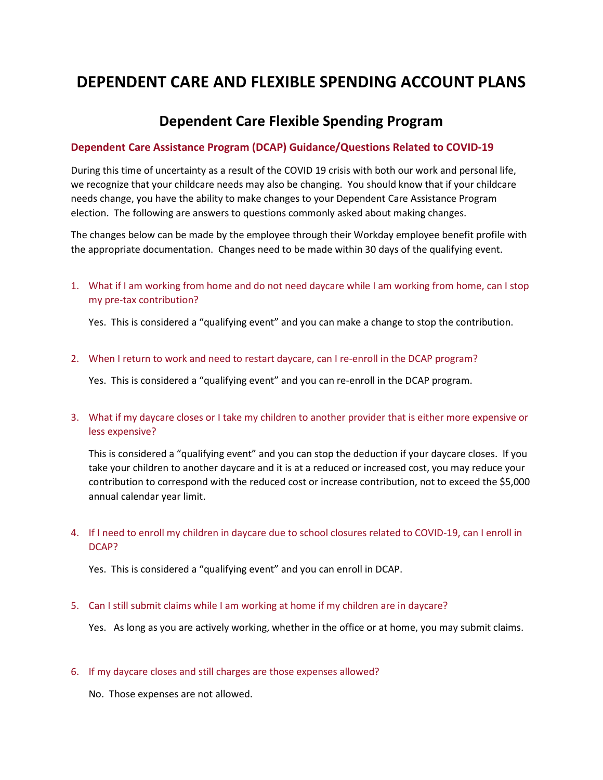# **DEPENDENT CARE AND FLEXIBLE SPENDING ACCOUNT PLANS**

# **Dependent Care Flexible Spending Program**

#### **Dependent Care Assistance Program (DCAP) Guidance/Questions Related to COVID-19**

During this time of uncertainty as a result of the COVID 19 crisis with both our work and personal life, we recognize that your childcare needs may also be changing. You should know that if your childcare needs change, you have the ability to make changes to your Dependent Care Assistance Program election. The following are answers to questions commonly asked about making changes.

The changes below can be made by the employee through their Workday employee benefit profile with the appropriate documentation. Changes need to be made within 30 days of the qualifying event.

1. What if I am working from home and do not need daycare while I am working from home, can I stop my pre-tax contribution?

Yes. This is considered a "qualifying event" and you can make a change to stop the contribution.

2. When I return to work and need to restart daycare, can I re-enroll in the DCAP program?

Yes. This is considered a "qualifying event" and you can re-enroll in the DCAP program.

3. What if my daycare closes or I take my children to another provider that is either more expensive or less expensive?

This is considered a "qualifying event" and you can stop the deduction if your daycare closes. If you take your children to another daycare and it is at a reduced or increased cost, you may reduce your contribution to correspond with the reduced cost or increase contribution, not to exceed the \$5,000 annual calendar year limit.

4. If I need to enroll my children in daycare due to school closures related to COVID-19, can I enroll in DCAP?

Yes. This is considered a "qualifying event" and you can enroll in DCAP.

5. Can I still submit claims while I am working at home if my children are in daycare?

Yes. As long as you are actively working, whether in the office or at home, you may submit claims.

6. If my daycare closes and still charges are those expenses allowed?

No. Those expenses are not allowed.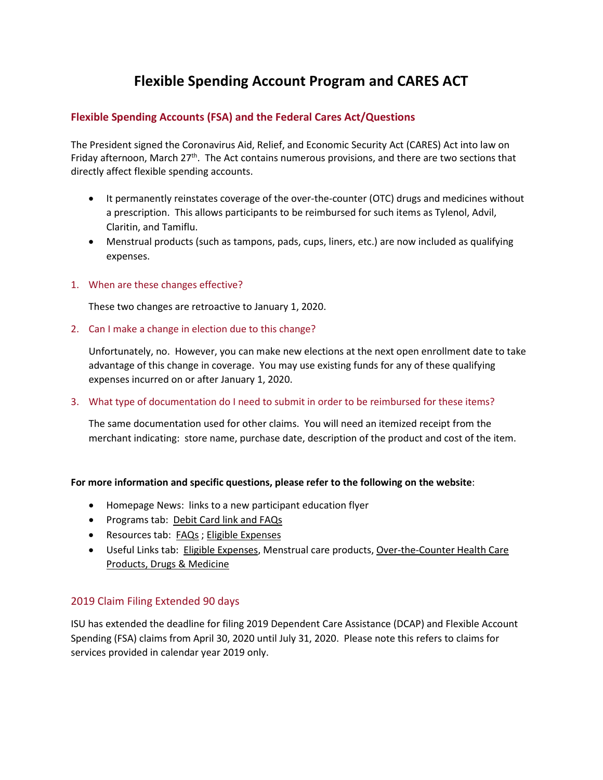# **Flexible Spending Account Program and CARES ACT**

## **Flexible Spending Accounts (FSA) and the Federal Cares Act/Questions**

The President signed the Coronavirus Aid, Relief, and Economic Security Act (CARES) Act into law on Friday afternoon, March 27<sup>th</sup>. The Act contains numerous provisions, and there are two sections that directly affect flexible spending accounts.

- It permanently reinstates coverage of the over-the-counter (OTC) drugs and medicines without a prescription. This allows participants to be reimbursed for such items as Tylenol, Advil, Claritin, and Tamiflu.
- Menstrual products (such as tampons, pads, cups, liners, etc.) are now included as qualifying expenses.
- 1. When are these changes effective?

These two changes are retroactive to January 1, 2020.

2. Can I make a change in election due to this change?

Unfortunately, no. However, you can make new elections at the next open enrollment date to take advantage of this change in coverage. You may use existing funds for any of these qualifying expenses incurred on or after January 1, 2020.

#### 3. What type of documentation do I need to submit in order to be reimbursed for these items?

The same documentation used for other claims. You will need an itemized receipt from the merchant indicating: store name, purchase date, description of the product and cost of the item.

### **For more information and specific questions, please refer to the following on the website**:

- Homepage News: links to a new participant education flyer
- Programs tab: [Debit Card link](http://www.asiflex.com/DebitCards.aspx) and FAQs
- Resources tab: [FAQs](http://www.asiflex.com/FAQs.aspx) ; [Eligible Expenses](http://www.asiflex.com/EligibleExpenses.aspx)
- Useful Links tab: [Eligible Expenses,](http://www.asiflex.com/EligibleExpenses.aspx) Menstrual care products, Over-the-Counter Health Care [Products, Drugs & Medicine](https://webdocs.asiflex.com/Eligible_Expenses/FSAOTC_03_2020.pdf)

### 2019 Claim Filing Extended 90 days

ISU has extended the deadline for filing 2019 Dependent Care Assistance (DCAP) and Flexible Account Spending (FSA) claims from April 30, 2020 until July 31, 2020. Please note this refers to claims for services provided in calendar year 2019 only.